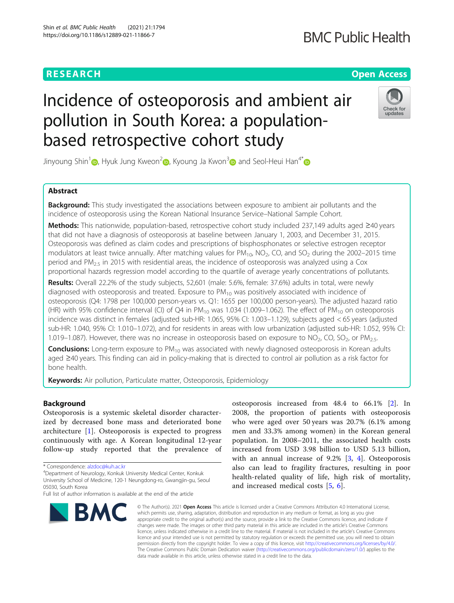# **RESEARCH CHE Open Access**

# **BMC Public Health**

# Incidence of osteoporosis and ambient air pollution in South Korea: a populationbased retrospective cohort study



Jinyoung Shin<sup>1</sup> [,](https://orcid.org/0000-0001-9558-1853) Hyuk Jung Kweon<sup>[2](https://orcid.org/0000-0001-6686-1303)</sup> , Kyoung Ja Kwon<sup>3</sup> and Seol-Heui Han<sup>4[\\*](https://orcid.org/0000-0003-3608-2514)</sup>

# Abstract

**Background:** This study investigated the associations between exposure to ambient air pollutants and the incidence of osteoporosis using the Korean National Insurance Service–National Sample Cohort.

Methods: This nationwide, population-based, retrospective cohort study included 237,149 adults aged ≥40 years that did not have a diagnosis of osteoporosis at baseline between January 1, 2003, and December 31, 2015. Osteoporosis was defined as claim codes and prescriptions of bisphosphonates or selective estrogen receptor modulators at least twice annually. After matching values for  $PM_{10}$ , NO<sub>2</sub>, CO, and SO<sub>2</sub> during the 2002–2015 time period and  $PM<sub>2.5</sub>$  in 2015 with residential areas, the incidence of osteoporosis was analyzed using a Cox proportional hazards regression model according to the quartile of average yearly concentrations of pollutants.

Results: Overall 22.2% of the study subjects, 52,601 (male: 5.6%, female: 37.6%) adults in total, were newly diagnosed with osteoporosis and treated. Exposure to  $PM_{10}$  was positively associated with incidence of osteoporosis (Q4: 1798 per 100,000 person-years vs. Q1: 1655 per 100,000 person-years). The adjusted hazard ratio (HR) with 95% confidence interval (CI) of Q4 in  $PM_{10}$  was 1.034 (1.009–1.062). The effect of  $PM_{10}$  on osteoporosis incidence was distinct in females (adjusted sub-HR: 1.065, 95% CI: 1.003–1.129), subjects aged < 65 years (adjusted sub-HR: 1.040, 95% CI: 1.010–1.072), and for residents in areas with low urbanization (adjusted sub-HR: 1.052, 95% CI: 1.019–1.087). However, there was no increase in osteoporosis based on exposure to NO<sub>2</sub>, CO, SO<sub>2</sub>, or PM<sub>2.5</sub>.

**Conclusions:** Long-term exposure to  $PM_{10}$  was associated with newly diagnosed osteoporosis in Korean adults aged ≥40 years. This finding can aid in policy-making that is directed to control air pollution as a risk factor for bone health.

Keywords: Air pollution, Particulate matter, Osteoporosis, Epidemiology

# Background

Osteoporosis is a systemic skeletal disorder characterized by decreased bone mass and deteriorated bone architecture  $[1]$  $[1]$ . Osteoporosis is expected to progress continuously with age. A Korean longitudinal 12-year follow-up study reported that the prevalence of

Department of Neurology, Konkuk University Medical Center, Konkuk University School of Medicine, 120-1 Neungdong-ro, Gwangjin-gu, Seoul 05030, South Korea

Full list of author information is available at the end of the article



osteoporosis increased from 48.4 to 66.1% [\[2](#page-7-0)]. In 2008, the proportion of patients with osteoporosis who were aged over 50 years was 20.7% (6.1% among men and 33.3% among women) in the Korean general population. In 2008–2011, the associated health costs increased from USD 3.98 billion to USD 5.13 billion, with an annual increase of 9.2% [\[3](#page-7-0), [4\]](#page-7-0). Osteoporosis also can lead to fragility fractures, resulting in poor health-related quality of life, high risk of mortality, and increased medical costs [[5](#page-7-0), [6](#page-7-0)].

© The Author(s). 2021 Open Access This article is licensed under a Creative Commons Attribution 4.0 International License, which permits use, sharing, adaptation, distribution and reproduction in any medium or format, as long as you give appropriate credit to the original author(s) and the source, provide a link to the Creative Commons licence, and indicate if changes were made. The images or other third party material in this article are included in the article's Creative Commons licence, unless indicated otherwise in a credit line to the material. If material is not included in the article's Creative Commons licence and your intended use is not permitted by statutory regulation or exceeds the permitted use, you will need to obtain permission directly from the copyright holder. To view a copy of this licence, visit [http://creativecommons.org/licenses/by/4.0/.](http://creativecommons.org/licenses/by/4.0/) The Creative Commons Public Domain Dedication waiver [\(http://creativecommons.org/publicdomain/zero/1.0/](http://creativecommons.org/publicdomain/zero/1.0/)) applies to the data made available in this article, unless otherwise stated in a credit line to the data.

<sup>\*</sup> Correspondence: [alzdoc@kuh.ac.kr](mailto:alzdoc@kuh.ac.kr) <sup>4</sup>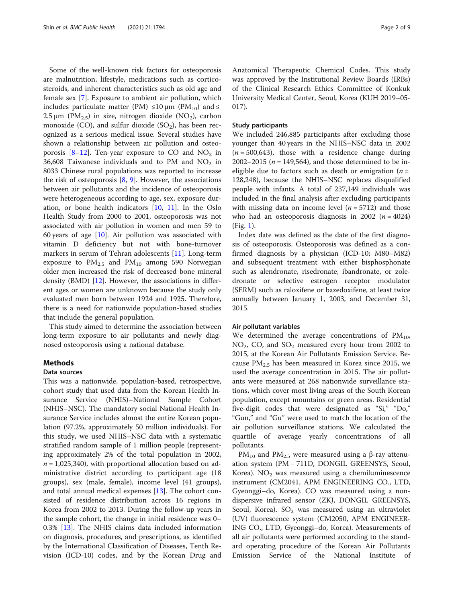Some of the well-known risk factors for osteoporosis are malnutrition, lifestyle, medications such as corticosteroids, and inherent characteristics such as old age and female sex [\[7](#page-7-0)]. Exposure to ambient air pollution, which includes particulate matter (PM) ≤10  $\mu$ m (PM<sub>10</sub>) and ≤  $2.5 \,\mu m$  (PM<sub>2.5</sub>) in size, nitrogen dioxide (NO<sub>2</sub>), carbon monoxide (CO), and sulfur dioxide  $(SO<sub>2</sub>)$ , has been recognized as a serious medical issue. Several studies have shown a relationship between air pollution and osteo-porosis [[8](#page-7-0)–[12](#page-7-0)]. Ten-year exposure to CO and  $NO<sub>2</sub>$  in 36,608 Taiwanese individuals and to PM and  $NO<sub>2</sub>$  in 8033 Chinese rural populations was reported to increase the risk of osteoporosis  $[8, 9]$  $[8, 9]$  $[8, 9]$  $[8, 9]$  $[8, 9]$ . However, the associations between air pollutants and the incidence of osteoporosis were heterogeneous according to age, sex, exposure duration, or bone health indicators [\[10](#page-7-0), [11](#page-7-0)]. In the Oslo Health Study from 2000 to 2001, osteoporosis was not associated with air pollution in women and men 59 to 60 years of age [[10\]](#page-7-0). Air pollution was associated with vitamin D deficiency but not with bone-turnover markers in serum of Tehran adolescents [[11](#page-7-0)]. Long-term exposure to  $PM_{2.5}$  and  $PM_{10}$  among 590 Norwegian older men increased the risk of decreased bone mineral density  $(BMD)$  [\[12](#page-7-0)]. However, the associations in different ages or women are unknown because the study only evaluated men born between 1924 and 1925. Therefore, there is a need for nationwide population-based studies that include the general population.

This study aimed to determine the association between long-term exposure to air pollutants and newly diagnosed osteoporosis using a national database.

#### Methods

#### Data sources

This was a nationwide, population-based, retrospective, cohort study that used data from the Korean Health Insurance Service (NHIS)–National Sample Cohort (NHIS–NSC). The mandatory social National Health Insurance Service includes almost the entire Korean population (97.2%, approximately 50 million individuals). For this study, we used NHIS–NSC data with a systematic stratified random sample of 1 million people (representing approximately 2% of the total population in 2002,  $n = 1,025,340$ , with proportional allocation based on administrative district according to participant age (18 groups), sex (male, female), income level (41 groups), and total annual medical expenses [\[13](#page-7-0)]. The cohort consisted of residence distribution across 16 regions in Korea from 2002 to 2013. During the follow-up years in the sample cohort, the change in initial residence was 0– 0.3% [\[13\]](#page-7-0). The NHIS claims data included information on diagnosis, procedures, and prescriptions, as identified by the International Classification of Diseases, Tenth Revision (ICD-10) codes, and by the Korean Drug and Anatomical Therapeutic Chemical Codes. This study was approved by the Institutional Review Boards (IRBs) of the Clinical Research Ethics Committee of Konkuk University Medical Center, Seoul, Korea (KUH 2019–05- 017).

#### Study participants

We included 246,885 participants after excluding those younger than 40 years in the NHIS–NSC data in 2002  $(n = 500,643)$ , those with a residence change during 2002–2015 ( $n = 149,564$ ), and those determined to be ineligible due to factors such as death or emigration  $(n =$ 128,248), because the NHIS–NSC replaces disqualified people with infants. A total of 237,149 individuals was included in the final analysis after excluding participants with missing data on income level ( $n = 5712$ ) and those who had an osteoporosis diagnosis in 2002 ( $n = 4024$ ) (Fig. [1](#page-2-0)).

Index date was defined as the date of the first diagnosis of osteoporosis. Osteoporosis was defined as a confirmed diagnosis by a physician (ICD-10; M80–M82) and subsequent treatment with either bisphosphonate such as alendronate, risedronate, ibandronate, or zoledronate or selective estrogen receptor modulator (SERM) such as raloxifene or bazedoxifene, at least twice annually between January 1, 2003, and December 31, 2015.

#### Air pollutant variables

We determined the average concentrations of  $PM_{10}$ ,  $NO<sub>2</sub>$ , CO, and  $SO<sub>2</sub>$  measured every hour from 2002 to 2015, at the Korean Air Pollutants Emission Service. Because  $PM_{2.5}$  has been measured in Korea since 2015, we used the average concentration in 2015. The air pollutants were measured at 268 nationwide surveillance stations, which cover most living areas of the South Korean population, except mountains or green areas. Residential five-digit codes that were designated as "Si," "Do," "Gun," and "Gu" were used to match the location of the air pollution surveillance stations. We calculated the quartile of average yearly concentrations of all pollutants.

PM<sub>10</sub> and PM<sub>2.5</sub> were measured using a β-ray attenuation system (PM − 711D, DONGIL GREENSYS, Seoul, Korea).  $NO<sub>2</sub>$  was measured using a chemiluminescence instrument (CM2041, APM ENGINEERING CO., LTD, Gyeonggi–do, Korea). CO was measured using a nondispersive infrared sensor (ZKJ, DONGIL GREENSYS, Seoul, Korea).  $SO_2$  was measured using an ultraviolet (UV) fluorescence system (CM2050, APM ENGINEER-ING CO., LTD, Gyeonggi–do, Korea). Measurements of all air pollutants were performed according to the standard operating procedure of the Korean Air Pollutants Emission Service of the National Institute of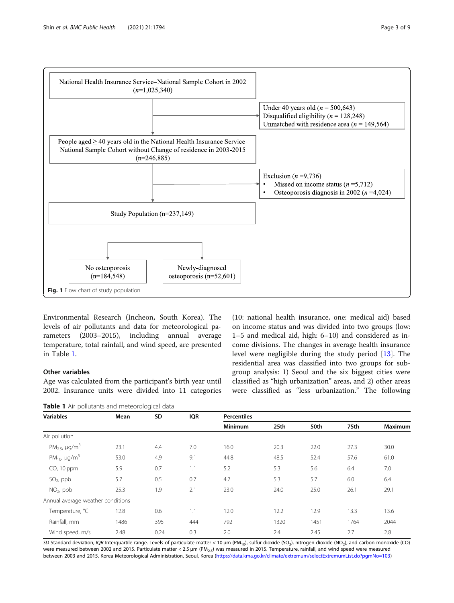<span id="page-2-0"></span>

Environmental Research (Incheon, South Korea). The levels of air pollutants and data for meteorological parameters (2003–2015), including annual average temperature, total rainfall, and wind speed, are presented in Table 1.

# Other variables

Age was calculated from the participant's birth year until 2002. Insurance units were divided into 11 categories

Table 1 Air pollutants and meteorological data

(10: national health insurance, one: medical aid) based on income status and was divided into two groups (low: 1–5 and medical aid, high: 6–10) and considered as income divisions. The changes in average health insurance level were negligible during the study period [[13\]](#page-7-0). The residential area was classified into two groups for subgroup analysis: 1) Seoul and the six biggest cities were classified as "high urbanization" areas, and 2) other areas were classified as "less urbanization." The following

| <b>Variables</b>                           | Mean | SD   | <b>IQR</b> | <b>Percentiles</b> |      |      |      |                |
|--------------------------------------------|------|------|------------|--------------------|------|------|------|----------------|
|                                            |      |      |            | <b>Minimum</b>     | 25th | 50th | 75th | <b>Maximum</b> |
| Air pollution                              |      |      |            |                    |      |      |      |                |
| PM <sub>2.5</sub> , $\mu$ g/m <sup>3</sup> | 23.1 | 4.4  | 7.0        | 16.0               | 20.3 | 22.0 | 27.3 | 30.0           |
| PM <sub>10</sub> , $\mu$ g/m <sup>3</sup>  | 53.0 | 4.9  | 9.1        | 44.8               | 48.5 | 52.4 | 57.6 | 61.0           |
| CO, 10 ppm                                 | 5.9  | 0.7  | 1.1        | 5.2                | 5.3  | 5.6  | 6.4  | 7.0            |
| $SO2$ , ppb                                | 5.7  | 0.5  | 0.7        | 4.7                | 5.3  | 5.7  | 6.0  | 6.4            |
| $NO2$ , ppb                                | 25.3 | 1.9  | 2.1        | 23.0               | 24.0 | 25.0 | 26.1 | 29.1           |
| Annual average weather conditions          |      |      |            |                    |      |      |      |                |
| Temperature, °C                            | 12.8 | 0.6  | 1.1        | 12.0               | 12.2 | 12.9 | 13.3 | 13.6           |
| Rainfall, mm                               | 1486 | 395  | 444        | 792                | 1320 | 1451 | 1764 | 2044           |
| Wind speed, m/s                            | 2.48 | 0.24 | 0.3        | 2.0                | 2.4  | 2.45 | 2.7  | 2.8            |

SD Standard deviation, IQR Interquartile range. Levels of particulate matter < 10  $\mu$ m (PM<sub>10</sub>), sulfur dioxide (SO<sub>2</sub>), nitrogen dioxide (NO<sub>2</sub>), and carbon monoxide (CO) were measured between 2002 and 2015. Particulate matter < 2.5 μm (PM<sub>2.5</sub>) was measured in 2015. Temperature, rainfall, and wind speed were measured between 2003 and 2015. Korea Meteorological Administration, Seoul, Korea (<https://data.kma.go.kr/climate/extremum/selectExtremumList.do?pgmNo=103>)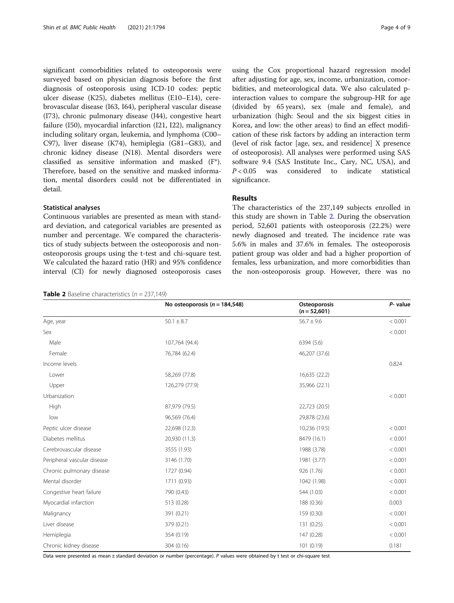significant comorbidities related to osteoporosis were surveyed based on physician diagnosis before the first diagnosis of osteoporosis using ICD-10 codes: peptic ulcer disease (K25), diabetes mellitus (E10–E14), cerebrovascular disease (I63, I64), peripheral vascular disease (I73), chronic pulmonary disease (J44), congestive heart failure (I50), myocardial infarction (I21, I22), malignancy including solitary organ, leukemia, and lymphoma (C00– C97), liver disease (K74), hemiplegia (G81–G83), and chronic kidney disease (N18). Mental disorders were classified as sensitive information and masked (F\*). Therefore, based on the sensitive and masked information, mental disorders could not be differentiated in detail.

## Statistical analyses

Continuous variables are presented as mean with standard deviation, and categorical variables are presented as number and percentage. We compared the characteristics of study subjects between the osteoporosis and nonosteoporosis groups using the t-test and chi-square test. We calculated the hazard ratio (HR) and 95% confidence interval (CI) for newly diagnosed osteoporosis cases

**Table 2** Baseline characteristics  $(n = 237,149)$ 

using the Cox proportional hazard regression model after adjusting for age, sex, income, urbanization, comorbidities, and meteorological data. We also calculated pinteraction values to compare the subgroup-HR for age (divided by 65 years), sex (male and female), and urbanization (high: Seoul and the six biggest cities in Korea, and low: the other areas) to find an effect modification of these risk factors by adding an interaction term (level of risk factor [age, sex, and residence] X presence of osteoporosis). All analyses were performed using SAS software 9.4 (SAS Institute Inc., Cary, NC, USA), and  $P < 0.05$  was considered to indicate statistical significance.

## Results

The characteristics of the 237,149 subjects enrolled in this study are shown in Table 2. During the observation period, 52,601 patients with osteoporosis (22.2%) were newly diagnosed and treated. The incidence rate was 5.6% in males and 37.6% in females. The osteoporosis patient group was older and had a higher proportion of females, less urbanization, and more comorbidities than the non-osteoporosis group. However, there was no

|                             | No osteoporosis ( $n = 184,548$ ) | Osteoporosis<br>$(n = 52,601)$ | P- value |
|-----------------------------|-----------------------------------|--------------------------------|----------|
| Age, year                   | $50.1 \pm 8.7$                    | $56.7 \pm 9.6$                 | < 0.001  |
| Sex                         |                                   |                                | < 0.001  |
| Male                        | 107,764 (94.4)                    | 6394 (5.6)                     |          |
| Female                      | 76,784 (62.4)                     | 46,207 (37.6)                  |          |
| Income levels               |                                   |                                | 0.824    |
| Lower                       | 58,269 (77.8)                     | 16,635 (22.2)                  |          |
| Upper                       | 126,279 (77.9)                    | 35,966 (22.1)                  |          |
| Urbanization                |                                   |                                | < 0.001  |
| High                        | 87,979 (79.5)                     | 22,723 (20.5)                  |          |
| low                         | 96,569 (76.4)                     | 29,878 (23.6)                  |          |
| Peptic ulcer disease        | 22,698 (12.3)                     | 10,236 (19.5)                  | < 0.001  |
| Diabetes mellitus           | 20,930 (11.3)                     | 8479 (16.1)                    | < 0.001  |
| Cerebrovascular disease     | 3555 (1.93)                       | 1988 (3.78)                    | < 0.001  |
| Peripheral vascular disease | 3146 (1.70)                       | 1981 (3.77)                    | < 0.001  |
| Chronic pulmonary disease   | 1727 (0.94)                       | 926 (1.76)                     | < 0.001  |
| Mental disorder             | 1711 (0.93)                       | 1042 (1.98)                    | < 0.001  |
| Congestive heart failure    | 790 (0.43)                        | 544 (1.03)                     | < 0.001  |
| Myocardial infarction       | 513 (0.28)                        | 188 (0.36)                     | 0.003    |
| Malignancy                  | 391 (0.21)                        | 159 (0.30)                     | < 0.001  |
| Liver disease               | 379 (0.21)                        | 131 (0.25)                     | < 0.001  |
| Hemiplegia                  | 354 (0.19)                        | 147 (0.28)                     | < 0.001  |
| Chronic kidney disease      | 304 (0.16)                        | 101 (0.19)                     | 0.181    |

Data were presented as mean ± standard deviation or number (percentage). P values were obtained by t test or chi-square test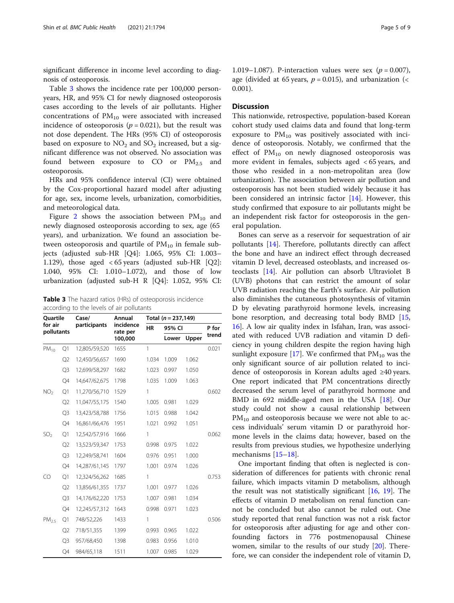significant difference in income level according to diagnosis of osteoporosis.

Table 3 shows the incidence rate per 100,000 personyears, HR, and 95% CI for newly diagnosed osteoporosis cases according to the levels of air pollutants. Higher concentrations of  $PM_{10}$  were associated with increased incidence of osteoporosis ( $p = 0.021$ ), but the result was not dose dependent. The HRs (95% CI) of osteoporosis based on exposure to  $NO<sub>2</sub>$  and  $SO<sub>2</sub>$  increased, but a significant difference was not observed. No association was found between exposure to CO or  $PM_{2.5}$  and osteoporosis.

HRs and 95% confidence interval (CI) were obtained by the Cox-proportional hazard model after adjusting for age, sex, income levels, urbanization, comorbidities, and meteorological data.

Figure [2](#page-5-0) shows the association between  $PM_{10}$  and newly diagnosed osteoporosis according to sex, age (65 years), and urbanization. We found an association between osteoporosis and quartile of  $PM_{10}$  in female subjects (adjusted sub-HR [Q4]: 1.065, 95% CI: 1.003– 1.129), those aged < 65 years (adjusted sub-HR [Q2]: 1.040, 95% CI: 1.010–1.072), and those of low urbanization (adjusted sub-H R [Q4]: 1.052, 95% CI:

Table 3 The hazard ratios (HRs) of osteoporosis incidence according to the levels of air pollutants

| <b>Ouartile</b><br>for air<br>pollutants |                | Case/         | Annual<br>incidence<br>rate per | Total $(n = 237, 149)$ |                |       |                |
|------------------------------------------|----------------|---------------|---------------------------------|------------------------|----------------|-------|----------------|
|                                          |                | participants  |                                 | <b>HR</b>              | 95% CI         |       | P for<br>trend |
|                                          |                |               | 100,000                         |                        | Upper<br>Lower |       |                |
| $PM_{10}$                                | Q1             | 12,805/59,520 | 1655                            | 1                      |                |       | 0.021          |
|                                          | Q <sub>2</sub> | 12,450/56,657 | 1690                            | 1.034                  | 1.009          | 1.062 |                |
|                                          | Q <sub>3</sub> | 12,699/58,297 | 1682                            | 1.023                  | 0.997          | 1.050 |                |
|                                          | Q4             | 14,647/62,675 | 1798                            | 1.035                  | 1.009          | 1.063 |                |
| NO <sub>2</sub>                          | Q1             | 11,270/56,710 | 1529                            | 1                      |                |       | 0.602          |
|                                          | Q2             | 11,047/55,175 | 1540                            | 1.005                  | 0.981          | 1.029 |                |
|                                          | Q3             | 13,423/58,788 | 1756                            | 1.015                  | 0.988          | 1.042 |                |
|                                          | Q4             | 16,861/66,476 | 1951                            | 1.021                  | 0.992          | 1.051 |                |
| SO <sub>2</sub>                          | Q1             | 12,542/57,916 | 1666                            | 1                      |                |       | 0.062          |
|                                          | Q <sub>2</sub> | 13,523/59,347 | 1753                            | 0.998                  | 0.975          | 1.022 |                |
|                                          | Q <sub>3</sub> | 12,249/58,741 | 1604                            | 0.976                  | 0.951          | 1.000 |                |
|                                          | Q4             | 14,287/61,145 | 1797                            | 1.001                  | 0.974          | 1.026 |                |
| CO                                       | Q1             | 12,324/56,262 | 1685                            | 1                      |                |       | 0.753          |
|                                          | Q <sub>2</sub> | 13,856/61,355 | 1737                            | 1.001                  | 0.977          | 1.026 |                |
|                                          | O3             | 14,176/62,220 | 1753                            | 1.007                  | 0.981          | 1.034 |                |
|                                          | Q4             | 12,245/57,312 | 1643                            | 0.998                  | 0.971          | 1.023 |                |
| PM <sub>2.5</sub>                        | Q1             | 748/52,226    | 1433                            | 1                      |                |       | 0.506          |
|                                          | Q <sub>2</sub> | 718/51,355    | 1399                            | 0.993                  | 0.965          | 1.022 |                |
|                                          | Q <sub>3</sub> | 957/68,450    | 1398                            | 0.983                  | 0.956          | 1.010 |                |
|                                          | Q4             | 984/65,118    | 1511                            | 1.007                  | 0.985          | 1.029 |                |

1.019–1.087). P-interaction values were sex ( $p = 0.007$ ), age (divided at 65 years,  $p = 0.015$ ), and urbanization (< 0.001).

### **Discussion**

This nationwide, retrospective, population-based Korean cohort study used claims data and found that long-term exposure to  $PM_{10}$  was positively associated with incidence of osteoporosis. Notably, we confirmed that the effect of  $PM_{10}$  on newly diagnosed osteoporosis was more evident in females, subjects aged < 65 years, and those who resided in a non-metropolitan area (low urbanization). The association between air pollution and osteoporosis has not been studied widely because it has been considered an intrinsic factor [[14\]](#page-7-0). However, this study confirmed that exposure to air pollutants might be an independent risk factor for osteoporosis in the general population.

Bones can serve as a reservoir for sequestration of air pollutants [[14\]](#page-7-0). Therefore, pollutants directly can affect the bone and have an indirect effect through decreased vitamin D level, decreased osteoblasts, and increased osteoclasts [\[14](#page-7-0)]. Air pollution can absorb Ultraviolet B (UVB) photons that can restrict the amount of solar UVB radiation reaching the Earth's surface. Air pollution also diminishes the cutaneous photosynthesis of vitamin D by elevating parathyroid hormone levels, increasing bone resorption, and decreasing total body BMD [[15](#page-7-0), [16\]](#page-7-0). A low air quality index in Isfahan, Iran, was associated with reduced UVB radiation and vitamin D deficiency in young children despite the region having high sunlight exposure [\[17](#page-7-0)]. We confirmed that  $PM_{10}$  was the only significant source of air pollution related to incidence of osteoporosis in Korean adults aged ≥40 years. One report indicated that PM concentrations directly decreased the serum level of parathyroid hormone and BMD in 692 middle-aged men in the USA [[18](#page-7-0)]. Our study could not show a causal relationship between  $PM_{10}$  and osteoporosis because we were not able to access individuals' serum vitamin D or parathyroid hormone levels in the claims data; however, based on the results from previous studies, we hypothesize underlying mechanisms [\[15](#page-7-0)–[18\]](#page-7-0).

One important finding that often is neglected is consideration of differences for patients with chronic renal failure, which impacts vitamin D metabolism, although the result was not statistically significant [\[16](#page-7-0), [19\]](#page-7-0). The effects of vitamin D metabolism on renal function cannot be concluded but also cannot be ruled out. One study reported that renal function was not a risk factor for osteoporosis after adjusting for age and other confounding factors in 776 postmenopausal Chinese women, similar to the results of our study [[20](#page-7-0)]. Therefore, we can consider the independent role of vitamin D,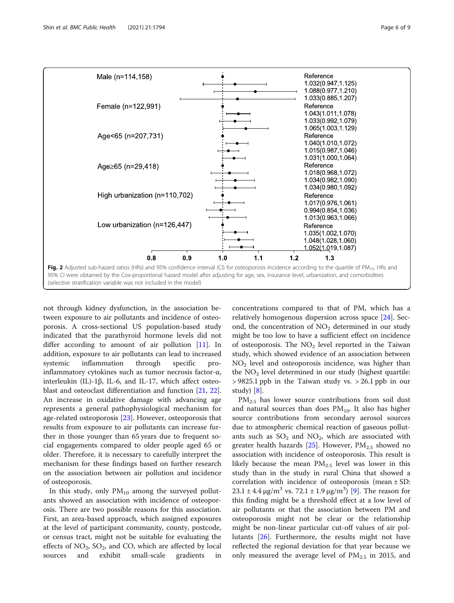<span id="page-5-0"></span>

not through kidney dysfunction, in the association between exposure to air pollutants and incidence of osteoporosis. A cross-sectional US population-based study indicated that the parathyroid hormone levels did not differ according to amount of air pollution  $[11]$  $[11]$  $[11]$ . In addition, exposure to air pollutants can lead to increased systemic inflammation through specific proinflammatory cytokines such as tumor necrosis factor-α, interleukin (IL)-1β, IL-6, and IL-17, which affect osteoblast and osteoclast differentiation and function [\[21](#page-8-0), [22](#page-8-0)]. An increase in oxidative damage with advancing age represents a general pathophysiological mechanism for age-related osteoporosis [\[23](#page-8-0)]. However, osteoporosis that results from exposure to air pollutants can increase further in those younger than 65 years due to frequent social engagements compared to older people aged 65 or older. Therefore, it is necessary to carefully interpret the mechanism for these findings based on further research on the association between air pollution and incidence of osteoporosis.

In this study, only  $PM_{10}$  among the surveyed pollutants showed an association with incidence of osteoporosis. There are two possible reasons for this association. First, an area-based approach, which assigned exposures at the level of participant community, county, postcode, or census tract, might not be suitable for evaluating the effects of  $NO_2$ ,  $SO_2$ , and CO, which are affected by local sources and exhibit small-scale gradients in concentrations compared to that of PM, which has a relatively homogenous dispersion across space [[24\]](#page-8-0). Second, the concentration of  $NO<sub>2</sub>$  determined in our study might be too low to have a sufficient effect on incidence of osteoporosis. The  $NO<sub>2</sub>$  level reported in the Taiwan study, which showed evidence of an association between  $NO<sub>2</sub>$  level and osteoporosis incidence, was higher than the  $NO<sub>2</sub>$  level determined in our study (highest quartile:  $> 9825.1$  ppb in the Taiwan study vs.  $> 26.1$  ppb in our study) [[8\]](#page-7-0).

 $PM_{2.5}$  has lower source contributions from soil dust and natural sources than does  $PM_{10}$ . It also has higher source contributions from secondary aerosol sources due to atmospheric chemical reaction of gaseous pollutants such as  $SO_2$  and  $NO_2$ , which are associated with greater health hazards [\[25](#page-8-0)]. However,  $PM_{2.5}$  showed no association with incidence of osteoporosis. This result is likely because the mean  $PM_{2.5}$  level was lower in this study than in the study in rural China that showed a correlation with incidence of osteoporosis (mean  $\pm$  SD:  $23.1 \pm 4.4 \,\mathrm{\upmu g/m^3}$  vs.  $72.1 \pm 1.9 \,\mathrm{\upmu g/m^3}$  [\[9](#page-7-0)]. The reason for this finding might be a threshold effect at a low level of air pollutants or that the association between PM and osteoporosis might not be clear or the relationship might be non-linear particular cut-off values of air pollutants [\[26\]](#page-8-0). Furthermore, the results might not have reflected the regional deviation for that year because we only measured the average level of  $PM_{2.5}$  in 2015, and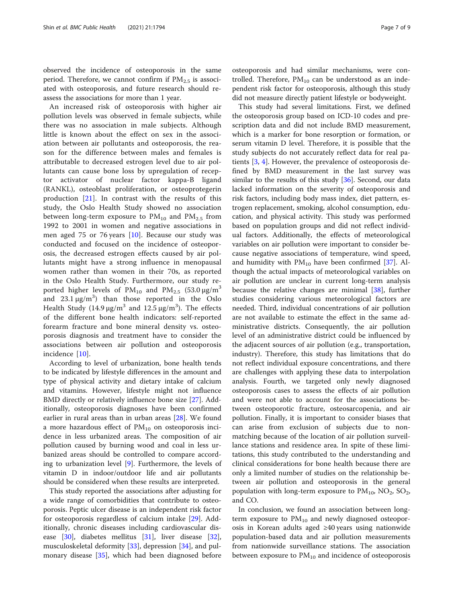observed the incidence of osteoporosis in the same period. Therefore, we cannot confirm if  $PM_{2.5}$  is associated with osteoporosis, and future research should reassess the associations for more than 1 year.

An increased risk of osteoporosis with higher air pollution levels was observed in female subjects, while there was no association in male subjects. Although little is known about the effect on sex in the association between air pollutants and osteoporosis, the reason for the difference between males and females is attributable to decreased estrogen level due to air pollutants can cause bone loss by upregulation of receptor activator of nuclear factor kappa-B ligand (RANKL), osteoblast proliferation, or osteoprotegerin production [[21\]](#page-8-0). In contrast with the results of this study, the Oslo Health Study showed no association between long-term exposure to  $PM_{10}$  and  $PM_{2.5}$  from 1992 to 2001 in women and negative associations in men aged 75 or 76 years [[10\]](#page-7-0). Because our study was conducted and focused on the incidence of osteoporosis, the decreased estrogen effects caused by air pollutants might have a strong influence in menopausal women rather than women in their 70s, as reported in the Oslo Health Study. Furthermore, our study reported higher levels of  $PM_{10}$  and  $PM_{2.5}$  (53.0  $\mu$ g/m<sup>3</sup> and  $23.1 \,\mu g/m^3$ ) than those reported in the Oslo Health Study (14.9  $\mu$ g/m<sup>3</sup> and 12.5  $\mu$ g/m<sup>3</sup>). The effects of the different bone health indicators: self-reported forearm fracture and bone mineral density vs. osteoporosis diagnosis and treatment have to consider the associations between air pollution and osteoporosis incidence [\[10](#page-7-0)].

According to level of urbanization, bone health tends to be indicated by lifestyle differences in the amount and type of physical activity and dietary intake of calcium and vitamins. However, lifestyle might not influence BMD directly or relatively influence bone size [\[27](#page-8-0)]. Additionally, osteoporosis diagnoses have been confirmed earlier in rural areas than in urban areas [[28](#page-8-0)]. We found a more hazardous effect of  $PM_{10}$  on osteoporosis incidence in less urbanized areas. The composition of air pollution caused by burning wood and coal in less urbanized areas should be controlled to compare according to urbanization level  $[9]$  $[9]$ . Furthermore, the levels of vitamin D in indoor/outdoor life and air pollutants should be considered when these results are interpreted.

This study reported the associations after adjusting for a wide range of comorbidities that contribute to osteoporosis. Peptic ulcer disease is an independent risk factor for osteoporosis regardless of calcium intake [[29](#page-8-0)]. Additionally, chronic diseases including cardiovascular disease [\[30\]](#page-8-0), diabetes mellitus [\[31](#page-8-0)], liver disease [\[32](#page-8-0)], musculoskeletal deformity [\[33\]](#page-8-0), depression [[34\]](#page-8-0), and pulmonary disease [\[35](#page-8-0)], which had been diagnosed before

osteoporosis and had similar mechanisms, were controlled. Therefore,  $PM_{10}$  can be understood as an independent risk factor for osteoporosis, although this study did not measure directly patient lifestyle or bodyweight.

This study had several limitations. First, we defined the osteoporosis group based on ICD-10 codes and prescription data and did not include BMD measurement, which is a marker for bone resorption or formation, or serum vitamin D level. Therefore, it is possible that the study subjects do not accurately reflect data for real patients [\[3](#page-7-0), [4](#page-7-0)]. However, the prevalence of osteoporosis defined by BMD measurement in the last survey was similar to the results of this study  $[36]$  $[36]$ . Second, our data lacked information on the severity of osteoporosis and risk factors, including body mass index, diet pattern, estrogen replacement, smoking, alcohol consumption, education, and physical activity. This study was performed based on population groups and did not reflect individual factors. Additionally, the effects of meteorological variables on air pollution were important to consider because negative associations of temperature, wind speed, and humidity with  $PM_{10}$  have been confirmed [\[37](#page-8-0)]. Although the actual impacts of meteorological variables on air pollution are unclear in current long-term analysis because the relative changes are minimal [\[38\]](#page-8-0), further studies considering various meteorological factors are needed. Third, individual concentrations of air pollution are not available to estimate the effect in the same administrative districts. Consequently, the air pollution level of an administrative district could be influenced by the adjacent sources of air pollution (e.g., transportation, industry). Therefore, this study has limitations that do not reflect individual exposure concentrations, and there are challenges with applying these data to interpolation analysis. Fourth, we targeted only newly diagnosed osteoporosis cases to assess the effects of air pollution and were not able to account for the associations between osteoporotic fracture, osteosarcopenia, and air pollution. Finally, it is important to consider biases that can arise from exclusion of subjects due to nonmatching because of the location of air pollution surveillance stations and residence area. In spite of these limitations, this study contributed to the understanding and clinical considerations for bone health because there are only a limited number of studies on the relationship between air pollution and osteoporosis in the general population with long-term exposure to  $PM_{10}$ ,  $NO_2$ ,  $SO_2$ , and CO.

In conclusion, we found an association between longterm exposure to  $PM_{10}$  and newly diagnosed osteoporosis in Korean adults aged ≥40 years using nationwide population-based data and air pollution measurements from nationwide surveillance stations. The association between exposure to  $PM_{10}$  and incidence of osteoporosis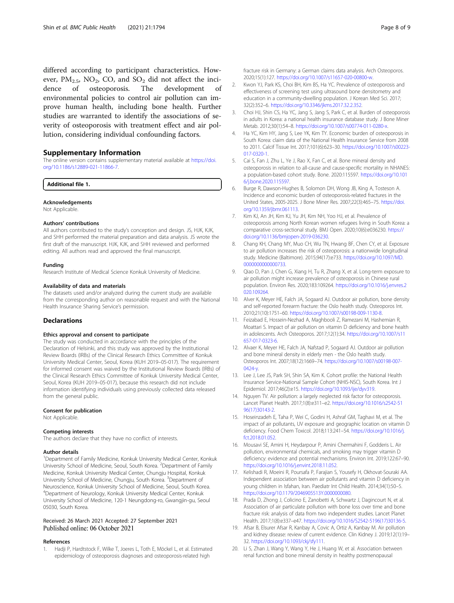<span id="page-7-0"></span>differed according to participant characteristics. However,  $PM_{2.5}$ , NO<sub>2</sub>, CO, and SO<sub>2</sub> did not affect the incidence of osteoporosis. The development of dence of osteoporosis. The development of environmental policies to control air pollution can improve human health, including bone health. Further studies are warranted to identify the associations of severity of osteoporosis with treatment effect and air pollution, considering individual confounding factors.

#### Supplementary Information

The online version contains supplementary material available at [https://doi.](https://doi.org/10.1186/s12889-021-11866-7) [org/10.1186/s12889-021-11866-7.](https://doi.org/10.1186/s12889-021-11866-7)

Additional file 1.

#### Acknowledgements

Not Applicable.

#### Authors' contributions

All authors contributed to the study's conception and design. JS, HJK, KJK, and SHH performed the material preparation and data analysis. JS wrote the first draft of the manuscript. HJK, KJK, and SHH reviewed and performed editing. All authors read and approved the final manuscript.

#### Funding

Research Institute of Medical Science Konkuk University of Medicine.

#### Availability of data and materials

The datasets used and/or analyzed during the current study are available from the corresponding author on reasonable request and with the National Health Insurance Sharing Service's permission.

#### **Declarations**

#### Ethics approval and consent to participate

The study was conducted in accordance with the principles of the Declaration of Helsinki, and this study was approved by the Institutional Review Boards (IRBs) of the Clinical Research Ethics Committee of Konkuk University Medical Center, Seoul, Korea (KUH 2019–05-017). The requirement for informed consent was waived by the Institutional Review Boards (IRBs) of the Clinical Research Ethics Committee of Konkuk University Medical Center, Seoul, Korea (KUH 2019–05-017), because this research did not include information identifying individuals using previously collected data released from the general public.

#### Consent for publication

Not Applicable.

#### Competing interests

The authors declare that they have no conflict of interests.

#### Author details

<sup>1</sup>Department of Family Medicine, Konkuk University Medical Center, Konkuk University School of Medicine, Seoul, South Korea. <sup>2</sup>Department of Family Medicine, Konkuk University Medical Center, Chungju Hospital, Konkuk University School of Medicine, Chungju, South Korea. <sup>3</sup>Department of Neuroscience, Konkuk University School of Medicine, Seoul, South Korea. 4 Department of Neurology, Konkuk University Medical Center, Konkuk University School of Medicine, 120-1 Neungdong-ro, Gwangjin-gu, Seoul 05030, South Korea.

#### Received: 26 March 2021 Accepted: 27 September 2021 Published online: 06 October 2021

#### References

1. Hadji P, Hardtstock F, Wilke T, Joeres L, Toth E, Möckel L, et al. Estimated epidemiology of osteoporosis diagnoses and osteoporosis-related high

fracture risk in Germany: a German claims data analysis. Arch Osteoporos. 2020;15(1):127. [https://doi.org/10.1007/s11657-020-00800-w.](https://doi.org/10.1007/s11657-020-00800-w)

- 2. Kwon YJ, Park KS, Choi BH, Kim BS, Ha YC. Prevalence of osteoporosis and effectiveness of screening test using ultrasound bone densitometry and education in a community-dwelling population. J Korean Med Sci. 2017; 32(2):352–6. <https://doi.org/10.3346/jkms.2017.32.2.352>.
- 3. Choi HJ, Shin CS, Ha YC, Jang S, Jang S, Park C, et al. Burden of osteoporosis in adults in Korea: a national health insurance database study. J Bone Miner Metab. 2012;30(1):54–8. <https://doi.org/10.1007/s00774-011-0280-x>.
- 4. Ha YC, Kim HY, Jang S, Lee YK, Kim TY. Economic burden of osteoporosis in South Korea: claim data of the National Health Insurance Service from 2008 to 2011. Calcif Tissue Int. 2017;101(6):623–30. [https://doi.org/10.1007/s00223-](https://doi.org/10.1007/s00223-017-0320-1) [017-0320-1](https://doi.org/10.1007/s00223-017-0320-1).
- 5. Cai S, Fan J, Zhu L, Ye J, Rao X, Fan C, et al. Bone mineral density and osteoporosis in relation to all-cause and cause-specific mortality in NHANES: a population-based cohort study. Bone. 2020:115597. [https://doi.org/10.101](https://doi.org/10.1016/j.bone.2020.115597) [6/j.bone.2020.115597.](https://doi.org/10.1016/j.bone.2020.115597)
- 6. Burge R, Dawson-Hughes B, Solomon DH, Wong JB, King A, Tosteson A. Incidence and economic burden of osteoporosis-related fractures in the United States, 2005-2025. J Bone Miner Res. 2007;22(3):465–75. [https://doi.](https://doi.org/10.1359/jbmr.061113) [org/10.1359/jbmr.061113.](https://doi.org/10.1359/jbmr.061113)
- 7. Kim KJ, An JH, Kim KJ, Yu JH, Kim NH, Yoo HJ, et al. Prevalence of osteoporosis among North Korean women refugees living in South Korea: a comparative cross-sectional study. BMJ Open. 2020;10(6):e036230. [https://](https://doi.org/10.1136/bmjopen-2019-036230) [doi.org/10.1136/bmjopen-2019-036230.](https://doi.org/10.1136/bmjopen-2019-036230)
- 8. Chang KH, Chang MY, Muo CH, Wu TN, Hwang BF, Chen CY, et al. Exposure to air pollution increases the risk of osteoporosis: a nationwide longitudinal study. Medicine (Baltimore). 2015;94(17):e733. [https://doi.org/10.1097/MD.](https://doi.org/10.1097/MD.0000000000000733) [0000000000000733](https://doi.org/10.1097/MD.0000000000000733).
- 9. Qiao D, Pan J, Chen G, Xiang H, Tu R, Zhang X, et al. Long-term exposure to air pollution might increase prevalence of osteoporosis in Chinese rural population. Environ Res. 2020;183:109264. [https://doi.org/10.1016/j.envres.2](https://doi.org/10.1016/j.envres.2020.109264) [020.109264.](https://doi.org/10.1016/j.envres.2020.109264)
- 10. Alver K, Meyer HE, Falch JA, Sogaard AJ. Outdoor air pollution, bone density and self-reported forearm fracture: the Oslo health study. Osteoporos Int. 2010;21(10):1751–60. [https://doi.org/10.1007/s00198-009-1130-8.](https://doi.org/10.1007/s00198-009-1130-8)
- 11. Feizabad E, Hossein-Nezhad A, Maghbooli Z, Ramezani M, Hashemian R, Moattari S. Impact of air pollution on vitamin D deficiency and bone health in adolescents. Arch Osteoporos. 2017;12(1):34. [https://doi.org/10.1007/s11](https://doi.org/10.1007/s11657-017-0323-6) [657-017-0323-6.](https://doi.org/10.1007/s11657-017-0323-6)
- 12. Alvaer K, Meyer HE, Falch JA, Nafstad P, Sogaard AJ. Outdoor air pollution and bone mineral density in elderly men - the Oslo health study. Osteoporos Int. 2007;18(12):1669–74. [https://doi.org/10.1007/s00198-007-](https://doi.org/10.1007/s00198-007-0424-y) [0424-y.](https://doi.org/10.1007/s00198-007-0424-y)
- 13. Lee J, Lee JS, Park SH, Shin SA, Kim K. Cohort profile: the National Health Insurance Service-National Sample Cohort (NHIS-NSC), South Korea. Int J Epidemiol. 2017;46(2):e15. <https://doi.org/10.1093/ije/dyv319>.
- 14. Nguyen TV. Air pollution: a largely neglected risk factor for osteoporosis. Lancet Planet Health. 2017;1(8):e311–e2. [https://doi.org/10.1016/s2542-51](https://doi.org/10.1016/s2542-5196(17)30143-2) [96\(17\)30143-2.](https://doi.org/10.1016/s2542-5196(17)30143-2)
- 15. Hoseinzadeh E, Taha P, Wei C, Godini H, Ashraf GM, Taghavi M, et al. The impact of air pollutants, UV exposure and geographic location on vitamin D deficiency. Food Chem Toxicol. 2018;113:241–54. [https://doi.org/10.1016/j.](https://doi.org/10.1016/j.fct.2018.01.052) [fct.2018.01.052](https://doi.org/10.1016/j.fct.2018.01.052).
- 16. Mousavi SE, Amini H, Heydarpour P, Amini Chermahini F, Godderis L. Air pollution, environmental chemicals, and smoking may trigger vitamin D deficiency: evidence and potential mechanisms. Environ Int. 2019;122:67–90. [https://doi.org/10.1016/j.envint.2018.11.052.](https://doi.org/10.1016/j.envint.2018.11.052)
- 17. Kelishadi R, Moeini R, Poursafa P, Farajian S, Yousefy H, Okhovat-Souraki AA. Independent association between air pollutants and vitamin D deficiency in young children in Isfahan, Iran. Paediatr Int Child Health. 2014;34(1):50–5. [https://doi.org/10.1179/2046905513Y.0000000080.](https://doi.org/10.1179/2046905513Y.0000000080)
- 18. Prada D, Zhong J, Colicino E, Zanobetti A, Schwartz J, Dagincourt N, et al. Association of air particulate pollution with bone loss over time and bone fracture risk: analysis of data from two independent studies. Lancet Planet Health. 2017;1(8):e337–e47. [https://doi.org/10.1016/S2542-5196\(17\)30136-5.](https://doi.org/10.1016/S2542-5196(17)30136-5)
- 19. Afsar B, Elsurer Afsar R, Kanbay A, Covic A, Ortiz A, Kanbay M. Air pollution and kidney disease: review of current evidence. Clin Kidney J. 2019;12(1):19– 32. [https://doi.org/10.1093/ckj/sfy111.](https://doi.org/10.1093/ckj/sfy111)
- 20. Li S, Zhan J, Wang Y, Wang Y, He J, Huang W, et al. Association between renal function and bone mineral density in healthy postmenopausal